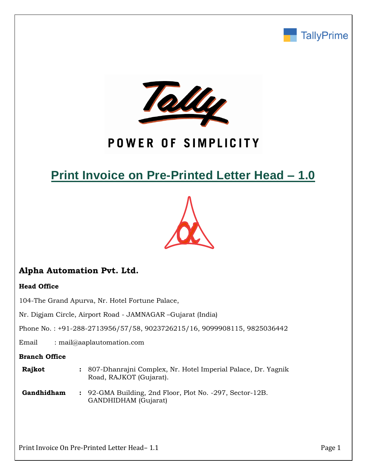



# POWER OF SIMPLICITY

# **Print Invoice on Pre-Printed Letter Head – 1.0**



# **Alpha Automation Pvt. Ltd.**

## **Head Office**

104-The Grand Apurva, Nr. Hotel Fortune Palace,

Nr. Digjam Circle, Airport Road - JAMNAGAR –Gujarat (India)

Phone No. : +91-288-2713956/57/58, 9023726215/16, 9099908115, 9825036442

Email : mail@aaplautomation.com

## **Branch Office**

- **Rajkot :** 807-Dhanrajni Complex, Nr. Hotel Imperial Palace, Dr. Yagnik Road, RAJKOT (Gujarat).
- **Gandhidham :** 92-GMA Building, 2nd Floor, Plot No. -297, Sector-12B. GANDHIDHAM (Gujarat)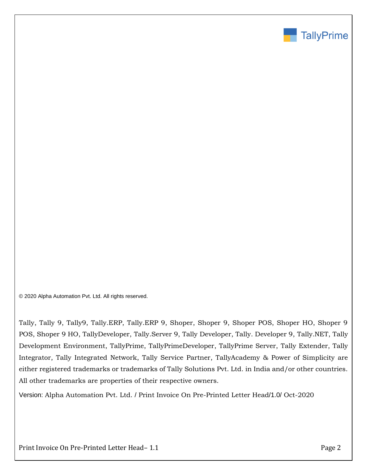

© 2020 Alpha Automation Pvt. Ltd. All rights reserved.

Tally, Tally 9, Tally9, Tally.ERP, Tally.ERP 9, Shoper, Shoper 9, Shoper POS, Shoper HO, Shoper 9 POS, Shoper 9 HO, TallyDeveloper, Tally.Server 9, Tally Developer, Tally. Developer 9, Tally.NET, Tally Development Environment, TallyPrime, TallyPrimeDeveloper, TallyPrime Server, Tally Extender, Tally Integrator, Tally Integrated Network, Tally Service Partner, TallyAcademy & Power of Simplicity are either registered trademarks or trademarks of Tally Solutions Pvt. Ltd. in India and/or other countries. All other trademarks are properties of their respective owners.

Version: Alpha Automation Pvt. Ltd. / Print Invoice On Pre-Printed Letter Head/1.0/ Oct-2020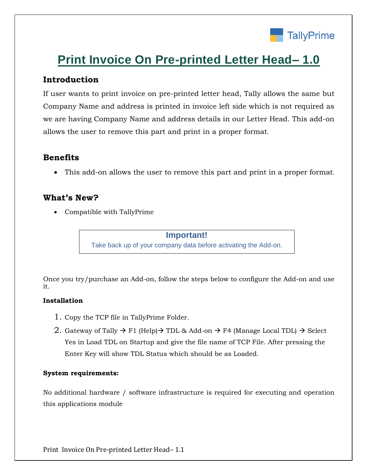

# **Print Invoice On Pre-printed Letter Head– 1.0**

# **Introduction**

If user wants to print invoice on pre-printed letter head, Tally allows the same but Company Name and address is printed in invoice left side which is not required as we are having Company Name and address details in our Letter Head. This add-on allows the user to remove this part and print in a proper format.

## **Benefits**

• This add-on allows the user to remove this part and print in a proper format.

## **What's New?**

• Compatible with TallyPrime

**Important!** Take back up of your company data before activating the Add-on.

Once you try/purchase an Add-on, follow the steps below to configure the Add-on and use it.

## **Installation**

- 1. Copy the TCP file in TallyPrime Folder.
- 2. Gateway of Tally  $\rightarrow$  F1 (Help) $\rightarrow$  TDL & Add-on  $\rightarrow$  F4 (Manage Local TDL)  $\rightarrow$  Select Yes in Load TDL on Startup and give the file name of TCP File. After pressing the Enter Key will show TDL Status which should be as Loaded.

## **System requirements:**

No additional hardware / software infrastructure is required for executing and operation this applications module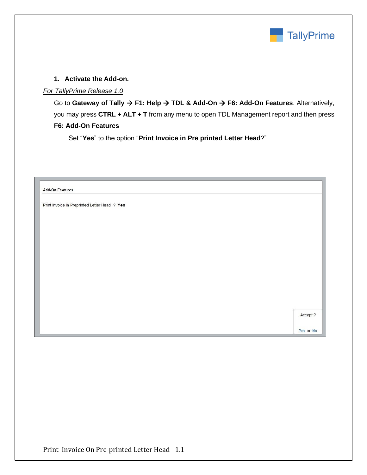

### **1. Activate the Add-on.**

### *For TallyPrime Release 1.0*

Go to **Gateway of Tally** → **F1: Help** → **TDL & Add-On** → **F6: Add-On Features**. Alternatively, you may press **CTRL + ALT + T** from any menu to open TDL Management report and then press **F6: Add-On Features**

Set "**Yes**" to the option "**Print Invoice in Pre printed Letter Head**?"

| <b>Add-On Features</b>                        |           |
|-----------------------------------------------|-----------|
| Print Invoice in Preprinted Letter Head ? Yes |           |
|                                               |           |
|                                               |           |
|                                               |           |
|                                               |           |
|                                               |           |
|                                               |           |
|                                               |           |
|                                               |           |
|                                               | Accept ?  |
|                                               |           |
|                                               | Yes or No |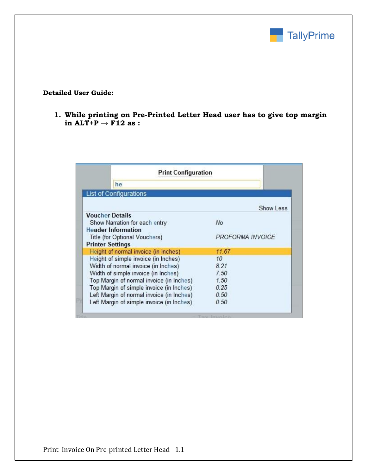

#### **Detailed User Guide:**

**1. While printing on Pre-Printed Letter Head user has to give top margin in ALT+P → F12 as :**

|                         | <b>Print Configuration</b>                |                  |
|-------------------------|-------------------------------------------|------------------|
|                         | he                                        |                  |
|                         | <b>List of Configurations</b>             |                  |
|                         |                                           | Show Less        |
| <b>Voucher Details</b>  |                                           |                  |
|                         | Show Narration for each entry             | No               |
|                         | <b>Header Information</b>                 |                  |
|                         | Title (for Optional Vouchers)             | PROFORMA INVOICE |
| <b>Printer Settings</b> |                                           |                  |
|                         | Height of normal invoice (in Inches)      | 11.67            |
|                         | Height of simple invoice (in Inches)      | 10               |
|                         | Width of normal invoice (in Inches)       | 8.21             |
|                         | Width of simple invoice (in Inches)       | 7.50             |
|                         | Top Margin of normal invoice (in Inches)  | 1.50             |
|                         | Top Margin of simple invoice (in Inches)  | 0.25             |
|                         | Left Margin of normal invoice (in Inches) | 0.50             |
|                         | Left Margin of simple invoice (in Inches) | 0.50             |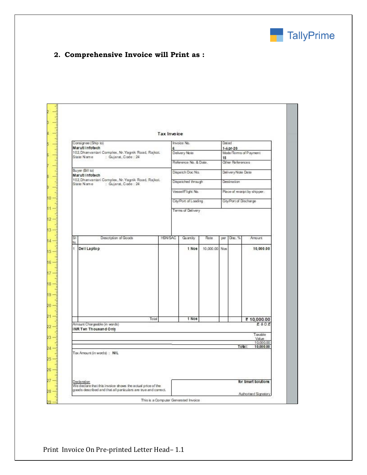

# **2. Comprehensive Invoice will Print as :**

| e<br>102, Dhanvantari Complex, Nr. Yagnik Road, Rajkot.<br>102, Dhanvantari Complex, Nr. Yagrik Road, Rajkot.<br>HSN/SAC | Delivery Note<br>Reference No. & Date.<br>Dispatch Doc No.<br>Dispatched through<br>Vessel/Flight No.<br>City/Part of Laading<br>Terms of Delivery<br>Quantity<br>1 Nos | Rate          | $1 - A pr - 20$<br>15<br>Other References<br>Delivery Note Date<br>Destination<br>City/Part of Discharge<br>Disc. %<br>per | Mode/Terms of Payment<br>Place of receipt by shipper:<br>Amount. |
|--------------------------------------------------------------------------------------------------------------------------|-------------------------------------------------------------------------------------------------------------------------------------------------------------------------|---------------|----------------------------------------------------------------------------------------------------------------------------|------------------------------------------------------------------|
|                                                                                                                          |                                                                                                                                                                         |               |                                                                                                                            |                                                                  |
|                                                                                                                          |                                                                                                                                                                         |               |                                                                                                                            |                                                                  |
|                                                                                                                          |                                                                                                                                                                         |               |                                                                                                                            |                                                                  |
|                                                                                                                          |                                                                                                                                                                         |               |                                                                                                                            |                                                                  |
|                                                                                                                          |                                                                                                                                                                         |               |                                                                                                                            |                                                                  |
|                                                                                                                          |                                                                                                                                                                         |               |                                                                                                                            |                                                                  |
|                                                                                                                          |                                                                                                                                                                         |               |                                                                                                                            |                                                                  |
|                                                                                                                          |                                                                                                                                                                         |               |                                                                                                                            |                                                                  |
|                                                                                                                          |                                                                                                                                                                         | 10.000.00 Nos |                                                                                                                            | 10,000.00                                                        |
|                                                                                                                          |                                                                                                                                                                         |               |                                                                                                                            |                                                                  |
|                                                                                                                          | 1 Nos                                                                                                                                                                   |               |                                                                                                                            | ₹ 10,000.00<br>E & O.E                                           |
|                                                                                                                          |                                                                                                                                                                         |               |                                                                                                                            | Taxable<br>Value                                                 |
|                                                                                                                          |                                                                                                                                                                         |               |                                                                                                                            | 10,000.00<br>Total:<br>10,000.00                                 |
|                                                                                                                          |                                                                                                                                                                         |               |                                                                                                                            |                                                                  |
|                                                                                                                          |                                                                                                                                                                         |               |                                                                                                                            |                                                                  |
|                                                                                                                          |                                                                                                                                                                         |               |                                                                                                                            |                                                                  |
|                                                                                                                          |                                                                                                                                                                         |               |                                                                                                                            |                                                                  |
|                                                                                                                          |                                                                                                                                                                         |               |                                                                                                                            | for \$mart \$olutions                                            |
| goods described and that all particulars are true and correct.                                                           |                                                                                                                                                                         |               |                                                                                                                            |                                                                  |
| Declaration<br>We declare that this invoice shows the actual price of the                                                |                                                                                                                                                                         |               | This is a Computer Generated Invoice                                                                                       | Authorised Signatory                                             |

Print Invoice On Pre-printed Letter Head– 1.1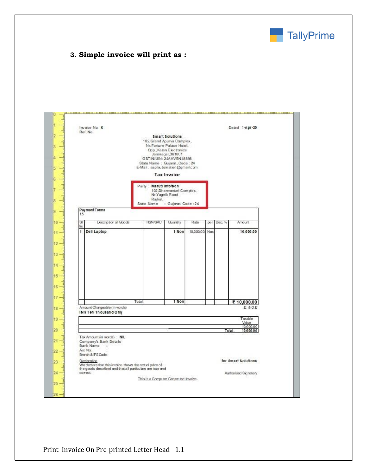

### **3**. **Simple invoice will print as :**

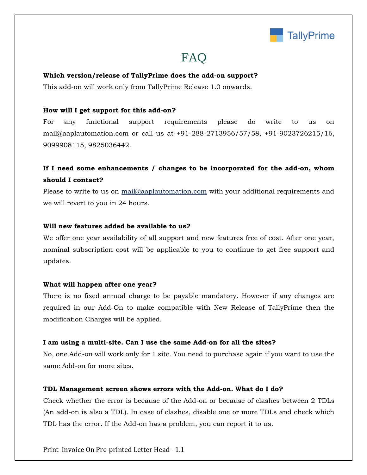

# **FAQ**

#### **Which version/release of TallyPrime does the add-on support?**

This add-on will work only from TallyPrime Release 1.0 onwards.

#### **How will I get support for this add-on?**

For any functional support requirements please do write to us on mail@aaplautomation.com or call us at +91-288-2713956/57/58, +91-9023726215/16, 9099908115, 9825036442.

## **If I need some enhancements / changes to be incorporated for the add-on, whom should I contact?**

Please to write to us on mail@aaplautomation.com with your additional requirements and we will revert to you in 24 hours.

#### **Will new features added be available to us?**

We offer one year availability of all support and new features free of cost. After one year, nominal subscription cost will be applicable to you to continue to get free support and updates.

#### **What will happen after one year?**

There is no fixed annual charge to be payable mandatory. However if any changes are required in our Add-On to make compatible with New Release of TallyPrime then the modification Charges will be applied.

#### **I am using a multi-site. Can I use the same Add-on for all the sites?**

No, one Add-on will work only for 1 site. You need to purchase again if you want to use the same Add-on for more sites.

#### **TDL Management screen shows errors with the Add-on. What do I do?**

Check whether the error is because of the Add-on or because of clashes between 2 TDLs (An add-on is also a TDL). In case of clashes, disable one or more TDLs and check which TDL has the error. If the Add-on has a problem, you can report it to us.